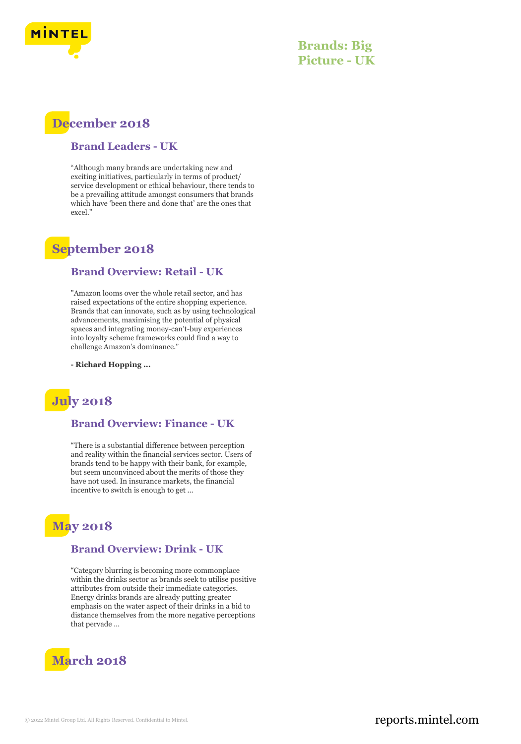

**Brands: Big Picture - UK**

# **December 2018**

#### **Brand Leaders - UK**

"Although many brands are undertaking new and exciting initiatives, particularly in terms of product/ service development or ethical behaviour, there tends to be a prevailing attitude amongst consumers that brands which have 'been there and done that' are the ones that excel."

## **September 2018**

#### **Brand Overview: Retail - UK**

"Amazon looms over the whole retail sector, and has raised expectations of the entire shopping experience. Brands that can innovate, such as by using technological advancements, maximising the potential of physical spaces and integrating money-can't-buy experiences into loyalty scheme frameworks could find a way to challenge Amazon's dominance."

**- Richard Hopping ...**

# **July 2018**

## **Brand Overview: Finance - UK**

"There is a substantial difference between perception and reality within the financial services sector. Users of brands tend to be happy with their bank, for example, but seem unconvinced about the merits of those they have not used. In insurance markets, the financial incentive to switch is enough to get ...

# **May 2018**

## **Brand Overview: Drink - UK**

"Category blurring is becoming more commonplace within the drinks sector as brands seek to utilise positive attributes from outside their immediate categories. Energy drinks brands are already putting greater emphasis on the water aspect of their drinks in a bid to distance themselves from the more negative perceptions that pervade ...